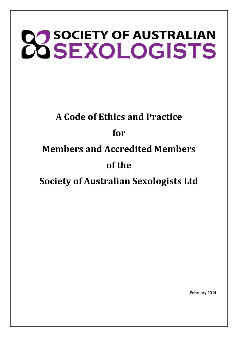# **OG SOCIETY OF AUSTRALIAN<br>COSEXOLOGISTS**

# **A Code of Ethics and Practice for Members and Accredited Members of the Society of Australian Sexologists Ltd**

**February 2014**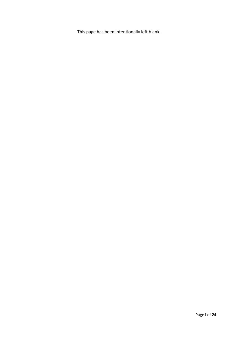This page has been intentionally left blank.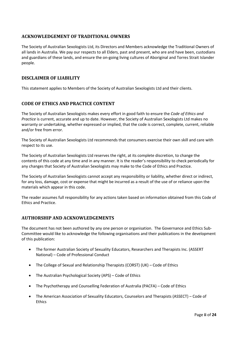#### **ACKNOWLEDGEMENT OF TRADITIONAL OWNERS**

The Society of Australian Sexologists Ltd, its Directors and Members acknowledge the Traditional Owners of all lands in Australia. We pay our respects to all Elders, past and present, who are and have been, custodians and guardians of these lands, and ensure the on-going living cultures of Aboriginal and Torres Strait Islander people.

#### **DISCLAIMER OF LIABILITY**

This statement applies to Members of the Society of Australian Sexologists Ltd and their clients.

#### **CODE OF ETHICS AND PRACTICE CONTENT**

The Society of Australian Sexologists makes every effort in good faith to ensure the *Code of Ethics and Practice* is current, accurate and up to date. However, the Society of Australian Sexologists Ltd makes no warranty or undertaking, whether expressed or implied, that the code is correct, complete, current, reliable and/or free from error.

The Society of Australian Sexologists Ltd recommends that consumers exercise their own skill and care with respect to its use.

The Society of Australian Sexologists Ltd reserves the right, at its complete discretion, to change the contents of this code at any time and in any manner. It is the reader's responsibility to check periodically for any changes that Society of Australian Sexologists may make to the Code of Ethics and Practice.

The Society of Australian Sexologists cannot accept any responsibility or liability, whether direct or indirect, for any loss, damage, cost or expense that might be incurred as a result of the use of or reliance upon the materials which appear in this code.

The reader assumes full responsibility for any actions taken based on information obtained from this Code of Ethics and Practice.

#### **AUTHORSHIP AND ACKNOWLEDGEMENTS**

The document has not been authored by any one person or organisation. The Governance and Ethics Sub-Committee would like to acknowledge the following organisations and their publications in the development of this publication:

- The former Australian Society of Sexuality Educators, Researchers and Therapists Inc. (ASSERT National) – Code of Professional Conduct
- The College of Sexual and Relationship Therapists (CORST) (UK) Code of Ethics
- The Australian Psychological Society (APS) Code of Ethics
- The Psychotherapy and Counselling Federation of Australia (PACFA) Code of Ethics
- The American Association of Sexuality Educators, Counselors and Therapists (ASSECT) Code of **Ethics**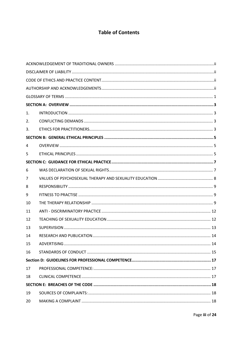# **Table of Contents**

| 1. |  |
|----|--|
| 2. |  |
| 3. |  |
|    |  |
| 4  |  |
| 5  |  |
|    |  |
| 6  |  |
| 7  |  |
| 8  |  |
| 9  |  |
| 10 |  |
| 11 |  |
| 12 |  |
| 13 |  |
| 14 |  |
| 15 |  |
| 16 |  |
|    |  |
| 17 |  |
| 18 |  |
|    |  |
| 19 |  |
| 20 |  |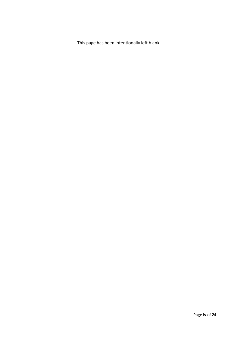This page has been intentionally left blank.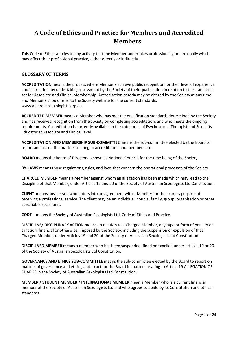# **A Code of Ethics and Practice for Members and Accredited Members**

This Code of Ethics applies to any activity that the Member undertakes professionally or personally which may affect their professional practice, either directly or indirectly.

#### **GLOSSARY OF TERMS**

**ACCREDITATION** means the process where Members achieve public recognition for their level of experience and instruction, by undertaking assessment by the Society of their qualification in relation to the standards set for Associate and Clinical Membership. Accreditation criteria may be altered by the Society at any time and Members should refer to the Society website for the current standards. www.australiansexologists.org.au

**ACCREDITED MEMBER** means a Member who has met the qualification standards determined by the Society and has received recognition from the Society on completing accreditation, and who meets the ongoing requirements. Accreditation is currently available in the categories of Psychosexual Therapist and Sexuality Educator at Associate and Clinical level.

**ACCREDITATION AND MEMBERSHIP SUB-COMMITTEE** means the sub-committee elected by the Board to report and act on the matters relating to accreditation and membership.

**BOARD** means the Board of Directors, known as National Council, for the time being of the Society.

**BY-LAWS** means those regulations, rules, and laws that concern the operational processes of the Society.

**CHARGED MEMBER** means a Member against whom an allegation has been made which may lead to the Discipline of that Member, under Articles 19 and 20 of the Society of Australian Sexologists Ltd Constitution.

**CLIENT** means any person who enters into an agreement with a Member for the express purpose of receiving a professional service. The client may be an individual, couple, family, group, organisation or other specifiable social unit.

**CODE** means the Society of Australian Sexologists Ltd. Code of Ethics and Practice.

**DISCIPLINE/** DISCIPLINARY ACTION means, in relation to a Charged Member, any type or form of penalty or sanction, financial or otherwise, imposed by the Society, including the suspension or expulsion of that Charged Member, under Articles 19 and 20 of the Society of Australian Sexologists Ltd Constitution.

**DISCIPLINED MEMBER** means a member who has been suspended, fined or expelled under articles 19 or 20 of the Society of Australian Sexologists Ltd Constitution.

**GOVERNANCE AND ETHICS SUB-COMMITTEE** means the sub-committee elected by the Board to report on matters of governance and ethics, and to act for the Board in matters relating to Article 19 ALLEGATION OF CHARGE in the Society of Australian Sexologists Ltd Constitution.

**MEMBER / STUDENT MEMBER / INTERNATIONAL MEMBER** mean a Member who is a current financial member of the Society of Australian Sexologists Ltd and who agrees to abide by its Constitution and ethical standards.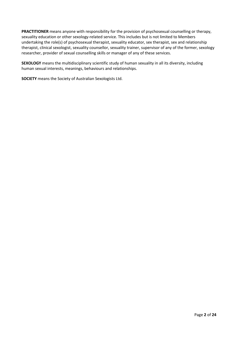**PRACTITIONER** means anyone with responsibility for the provision of psychosexual counselling or therapy, sexuality education or other sexology-related service. This includes but is not limited to Members undertaking the role(s) of psychosexual therapist, sexuality educator, sex therapist, sex and relationship therapist, clinical sexologist, sexuality counsellor, sexuality trainer, supervisor of any of the former, sexology researcher, provider of sexual counselling skills or manager of any of these services.

**SEXOLOGY** means the multidisciplinary scientific study of human sexuality in all its diversity, including human sexual interests, meanings, behaviours and relationships.

**SOCIETY** means the Society of Australian Sexologists Ltd.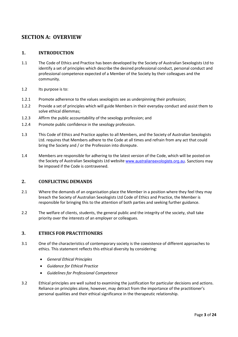# **SECTION A: OVERVIEW**

#### **1. INTRODUCTION**

- 1.1 The Code of Ethics and Practice has been developed by the Society of Australian Sexologists Ltd to identify a set of principles which describe the desired professional conduct, personal conduct and professional competence expected of a Member of the Society by their colleagues and the community.
- 1.2 Its purpose is to:
- 1.2.1 Promote adherence to the values sexologists see as underpinning their profession;
- 1.2.2 Provide a set of principles which will guide Members in their everyday conduct and assist them to solve ethical dilemmas;
- 1.2.3 Affirm the public accountability of the sexology profession; and
- 1.2.4 Promote public confidence in the sexology profession.
- 1.3 This Code of Ethics and Practice applies to all Members, and the Society of Australian Sexologists Ltd. requires that Members adhere to the Code at all times and refrain from any act that could bring the Society and / or the Profession into disrepute.
- 1.4 Members are responsible for adhering to the latest version of the Code, which will be posted on the Society of Australian Sexologists Ltd website www.australiansexologists.org.au. Sanctions may be imposed if the Code is contravened.

#### **2. CONFLICTING DEMANDS**

- 2.1 Where the demands of an organisation place the Member in a position where they feel they may breach the Society of Australian Sexologists Ltd Code of Ethics and Practice, the Member is responsible for bringing this to the attention of both parties and seeking further guidance.
- 2.2 The welfare of clients, students, the general public and the integrity of the society, shall take priority over the interests of an employer or colleagues.

#### **3. ETHICS FOR PRACTITIONERS**

- 3.1 One of the characteristics of contemporary society is the coexistence of different approaches to ethics. This statement reflects this ethical diversity by considering:
	- *General Ethical Principles*
	- *Guidance for Ethical Practice*
	- *Guidelines for Professional Competence*
- 3.2 Ethical principles are well suited to examining the justification for particular decisions and actions. Reliance on principles alone, however, may detract from the importance of the practitioner's personal qualities and their ethical significance in the therapeutic relationship.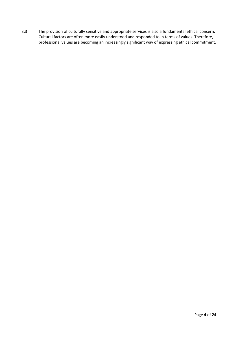3.3 The provision of culturally sensitive and appropriate services is also a fundamental ethical concern. Cultural factors are often more easily understood and responded to in terms of values. Therefore, professional values are becoming an increasingly significant way of expressing ethical commitment.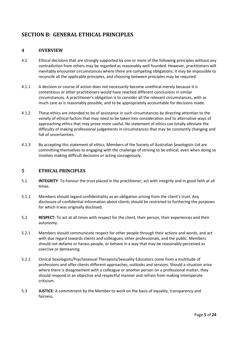# **SECTION B: GENERAL ETHICAL PRINCIPLES**

#### **4 OVERVIEW**

- 4.1 Ethical decisions that are strongly supported by one or more of the following principles without any contradiction from others may be regarded as reasonably well founded. However, practitioners will inevitably encounter circumstances where there are competing obligations; it may be impossible to reconcile all the applicable principles, and choosing between principles may be required.
- 4.1.1 A decision or course of action does not necessarily become unethical merely because it is contentious or other practitioners would have reached different conclusions in similar circumstances. A practitioner's obligation is to consider all the relevant circumstances, with as much care as is reasonably possible, and to be appropriately accountable for decisions made.
- 4.1.2 These ethics are intended to be of assistance in such circumstances by directing attention to the variety of ethical factors that may need to be taken into consideration and to alternative ways of approaching ethics that may prove more useful. No statement of ethics can totally alleviate the difficulty of making professional judgements in circumstances that may be constantly changing and full of uncertainties.
- 4.1.3 By accepting this statement of ethics, Members of the Society of Australian Sexologists Ltd are committing themselves to engaging with the challenge of striving to be ethical, even when doing so involves making difficult decisions or acting courageously.

#### **5 ETHICAL PRINCIPLES**

- 5.1 **INTEGRITY**: To honour the trust placed in the practitioner; act with integrity and in good faith at all times.
- 5.1.1 Members should regard confidentiality as an obligation arising from the client's trust. Any disclosure of confidential information about clients should be restricted to furthering the purposes for which it was originally disclosed.
- 5.2 **RESPECT:** To act at all times with respect for the client, their person, their experiences and their autonomy.
- 5.2.1 Members should communicate respect for other people through their actions and words, and act with due regard towards clients and colleagues, other professionals, and the public. Members should not defame or harass people, or behave in a way that may be reasonably perceived as coercive or demeaning.
- 5.2.2 Clinical Sexologists/Psychosexual Therapists/Sexuality Educators come from a multitude of professions and offer clients different approaches, outlooks and services. Should a situation arise where there is disagreement with a colleague or another person on a professional matter, they should respond in an objective and respectful manner and refrain from making intemperate criticism.
- 5.3 **JUSTICE:** A commitment by the Member to work on the basis of equality, transparency and fairness.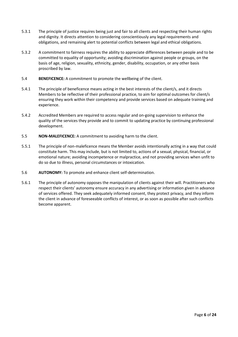- 5.3.1 The principle of justice requires being just and fair to all clients and respecting their human rights and dignity. It directs attention to considering conscientiously any legal requirements and obligations, and remaining alert to potential conflicts between legal and ethical obligations.
- 5.3.2 A commitment to fairness requires the ability to appreciate differences between people and to be committed to equality of opportunity; avoiding discrimination against people or groups, on the basis of age, religion, sexuality, ethnicity, gender, disability, occupation, or any other basis proscribed by law.
- 5.4 **BENEFICENCE:** A commitment to promote the wellbeing of the client.
- 5.4.1 The principle of beneficence means acting in the best interests of the client/s, and it directs Members to be reflective of their professional practice, to aim for optimal outcomes for client/s ensuring they work within their competency and provide services based on adequate training and experience.
- 5.4.2 Accredited Members are required to access regular and on-going supervision to enhance the quality of the services they provide and to commit to updating practice by continuing professional development.
- 5.5 **NON-MALEFICENCE:** A commitment to avoiding harm to the client.
- 5.5.1 The principle of non-maleficence means the Member avoids intentionally acting in a way that could constitute harm. This may include, but is not limited to, actions of a sexual, physical, financial, or emotional nature; avoiding incompetence or malpractice, and not providing services when unfit to do so due to illness, personal circumstances or intoxication.
- 5.6 **AUTONOMY:** To promote and enhance client self-determination.
- 5.6.1 The principle of autonomy opposes the manipulation of clients against their will. Practitioners who respect their clients' autonomy ensure accuracy in any advertising or information given in advance of services offered. They seek adequately informed consent, they protect privacy, and they inform the client in advance of foreseeable conflicts of interest, or as soon as possible after such conflicts become apparent.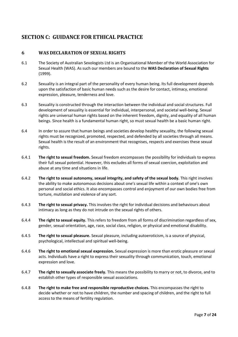# **SECTION C: GUIDANCE FOR ETHICAL PRACTICE**

#### **6 WAS DECLARATION OF SEXUAL RIGHTS**

- 6.1 The Society of Australian Sexologists Ltd is an Organisational Member of the World Association for Sexual Health (WAS). As such our members are bound to the **WAS Declaration of Sexual Rights** (1999).
- 6.2 Sexuality is an integral part of the personality of every human being. Its full development depends upon the satisfaction of basic human needs such as the desire for contact, intimacy, emotional expression, pleasure, tenderness and love.
- 6.3 Sexuality is constructed through the interaction between the individual and social structures. Full development of sexuality is essential for individual, interpersonal, and societal well-being. Sexual rights are universal human rights based on the inherent freedom, dignity, and equality of all human beings. Since health is a fundamental human right, so must sexual health be a basic human right.
- 6.4 In order to assure that human beings and societies develop healthy sexuality, the following sexual rights must be recognized, promoted, respected, and defended by all societies through all means. Sexual health is the result of an environment that recognises, respects and exercises these sexual rights.
- 6.4.1 **The right to sexual freedom.** Sexual freedom encompasses the possibility for individuals to express their full sexual potential. However, this excludes all forms of sexual coercion, exploitation and abuse at any time and situations in life.
- 6.4.2 **The right to sexual autonomy, sexual integrity, and safety of the sexual body.** This right involves the ability to make autonomous decisions about one's sexual life within a context of one's own personal and social ethics. It also encompasses control and enjoyment of our own bodies free from torture, mutilation and violence of any sort.
- 6.4.3 **The right to sexual privacy.** This involves the right for individual decisions and behaviours about intimacy as long as they do not intrude on the sexual rights of others.
- 6.4.4 **The right to sexual equity.** This refers to freedom from all forms of discrimination regardless of sex, gender, sexual orientation, age, race, social class, religion, or physical and emotional disability.
- 6.4.5 **The right to sexual pleasure.** Sexual pleasure, including autoeroticism, is a source of physical, psychological, intellectual and spiritual well-being.
- 6.4.6 **The right to emotional sexual expression.** Sexual expression is more than erotic pleasure or sexual acts. Individuals have a right to express their sexuality through communication, touch, emotional expression and love.
- 6.4.7 **The right to sexually associate freely.** This means the possibility to marry or not, to divorce, and to establish other types of responsible sexual associations.
- 6.4.8 **The right to make free and responsible reproductive choices.** This encompasses the right to decide whether or not to have children, the number and spacing of children, and the right to full access to the means of fertility regulation.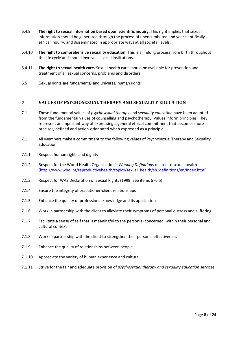- 6.4.9 **The right to sexual information based upon scientific inquiry.** This right implies that sexual information should be generated through the process of unencumbered and yet scientifically ethical inquiry, and disseminated in appropriate ways at all societal levels.
- 6.4.10 **The right to comprehensive sexuality education.** This is a lifelong process from birth throughout the life cycle and should involve all social institutions.
- 6.4.11 **The right to sexual health care.** Sexual health care should be available for prevention and treatment of all sexual concerns, problems and disorders.
- 6.5 Sexual rights are fundamental and universal human rights

#### **7 VALUES OF PSYCHOSEXUAL THERAPY AND SEXUALITY EDUCATION**

- 7.1 These fundamental values of *psychosexual therapy* and *sexuality education* have been adapted from the fundamental values of counselling and psychotherapy. Values inform principles. They represent an important way of expressing a general ethical commitment that becomes more precisely defined and action-orientated when expressed as a principle.
- 7.1 All Members make a commitment to the following values of Psychosexual Therapy and Sexuality Education
- 7.1.1 Respect human rights and dignity
- 7.1.2 Respect for the World Health Organisation's *Working Definitions* related to sexual health (http://www.who.int/reproductivehealth/topics/sexual\_health/sh\_definitions/en/index.html)
- 7.1.3 Respect for WAS Declaration of Sexual Rights (1999; See items 6 -6.5)
- 7.1.4 Ensure the integrity of practitioner-client relationships
- 7.1.5 Enhance the quality of professional knowledge and its application
- 7.1.6 Work in partnership with the client to alleviate their symptoms of personal distress and suffering
- 7.1.7 Facilitate a sense of self that is meaningful to the person(s) concerned, within their personal and cultural context
- 7.1.8 Work in partnership with the client to strengthen their personal effectiveness
- 7.1.9 Enhance the quality of relationships between people
- 7.1.10 Appreciate the variety of human experience and culture
- 7.1.11 Strive for the fair and adequate provision of *psychosexual therapy and sexuality education* services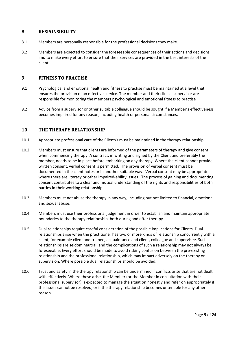#### **8 RESPONSIBILITY**

- 8.1 Members are personally responsible for the professional decisions they make.
- 8.2 Members are expected to consider the foreseeable consequences of their actions and decisions and to make every effort to ensure that their services are provided in the best interests of the client.

#### **9 FITNESS TO PRACTISE**

- 9.1 Psychological and emotional health and fitness to practise must be maintained at a level that ensures the provision of an effective service. The member and their clinical supervisor are responsible for monitoring the members psychological and emotional fitness to practise
- 9.2 Advice from a supervisor or other suitable colleague should be sought if a Member's effectiveness becomes impaired for any reason, including health or personal circumstances.

#### **10 THE THERAPY RELATIONSHIP**

- 10.1 Appropriate professional care of the Client/s must be maintained in the therapy relationship
- 10.2 Members must ensure that clients are informed of the parameters of therapy and give consent when commencing therapy. A contract, in writing and signed by the Client and preferably the member, needs to be in place before embarking on any therapy. Where the client cannot provide written consent, verbal consent is permitted. The provision of verbal consent must be documented in the client notes or in another suitable way. Verbal consent may be appropriate where there are literacy or other impaired-ability issues. The process of gaining and documenting consent contributes to a clear and mutual understanding of the rights and responsibilities of both parties in their working relationship.
- 10.3 Members must not abuse the therapy in any way, including but not limited to financial, emotional and sexual abuse.
- 10.4 Members must use their professional judgement in order to establish and maintain appropriate boundaries to the therapy relationship, both during and after therapy.
- 10.5 Dual relationships require careful consideration of the possible implications for Clients. Dual relationships arise when the practitioner has two or more kinds of relationship concurrently with a client, for example client and trainee, acquaintance and client, colleague and supervisee. Such relationships are seldom neutral, and the complications of such a relationship may not always be foreseeable. Every effort should be made to avoid risking confusion between the pre-existing relationship and the professional relationship, which may impact adversely on the therapy or supervision. Where possible dual relationships should be avoided.
- 10.6 Trust and safety in the therapy relationship can be undermined if conflicts arise that are not dealt with effectively. Where these arise, the Member (or the Member in consultation with their professional supervisor) is expected to manage the situation honestly and refer on appropriately if the issues cannot be resolved, or if the therapy relationship becomes untenable for any other reason.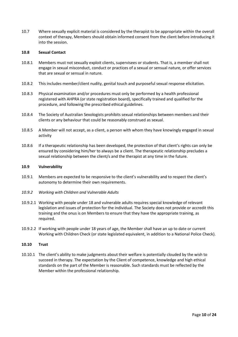10.7 Where sexually explicit material is considered by the therapist to be appropriate within the overall context of therapy, Members should obtain informed consent from the client before introducing it into the session.

#### **10.8 Sexual Contact**

- 10.8.1 Members must not sexually exploit clients, supervisees or students. That is, a member shall not engage in sexual misconduct, conduct or practices of a sexual or sensual nature, or offer services that are sexual or sensual in nature.
- 10.8.2 This includes member/client nudity, genital touch and purposeful sexual response elicitation.
- 10.8.3 Physical examination and/or procedures must only be performed by a health professional registered with AHPRA (or state registration board), specifically trained and qualified for the procedure, and following the prescribed ethical guidelines.
- 10.8.4 The Society of Australian Sexologists prohibits sexual relationships between members and their clients or any behaviour that could be reasonably construed as sexual.
- 10.8.5 A Member will not accept, as a client, a person with whom they have knowingly engaged in sexual activity
- 10.8.6 If a therapeutic relationship has been developed, the protection of that client's rights can only be ensured by considering him/her to always be a client. The therapeutic relationship precludes a sexual relationship between the client/s and the therapist at any time in the future.

#### **10.9 Vulnerability**

- 10.9.1 Members are expected to be responsive to the client's vulnerability and to respect the client's autonomy to determine their own requirements.
- *10.9.2 Working with Children and Vulnerable Adults*
- 10.9.2.1 Working with people under 18 and vulnerable adults requires special knowledge of relevant legislation and issues of protection for the individual. The Society does not provide or accredit this training and the onus is on Members to ensure that they have the appropriate training, as required.
- 10.9.2.2 If working with people under 18 years of age, the Member shall have an up to date or current Working with Children Check (or state legislated equivalent, in addition to a National Police Check).

#### **10.10 Trust**

10.10.1 The client's ability to make judgments about their welfare is potentially clouded by the wish to succeed in therapy. The expectation by the Client of competence, knowledge and high ethical standards on the part of the Member is reasonable. Such standards must be reflected by the Member within the professional relationship.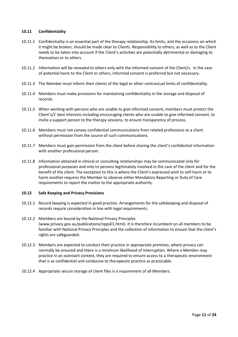#### **10.11 Confidentiality**

- 10.11.1 Confidentiality is an essential part of the therapy relationship. Its limits, and the occasions on which it might be broken, should be made clear to Clients. Responsibility to others, as well as to the Client needs to be taken into account if the Client's activities are potentially detrimental or damaging to themselves or to others.
- 10.11.2 Information will be revealed to others only with the informed consent of the Client/s. In the case of potential harm to the Client or others, informed consent is preferred but not necessary.
- 10.11.3 The Member must inform their clients of the legal or other contractual limits of confidentiality.
- 10.11.4 Members must make provisions for maintaining confidentiality in the storage and disposal of records.
- 10.11.5 When working with persons who are unable to give informed consent, members must protect the Client's/s' best interests including encouraging clients who are unable to give informed consent, to invite a support person to the therapy sessions, to ensure transparency of process.
- 10.11.6 Members must not convey confidential communications from related professions to a client without permission from the source of such communications.
- 10.11.7 Members must gain permission from the client before sharing the client's confidential information with another professional person.
- 10.11.8 Information obtained in clinical or consulting relationships may be communicated only for professional purposes and only to persons legitimately involved in the care of the client and for the benefit of the client. The exception to this is where the Client's expressed wish to self-harm or to harm another requires the Member to observe either Mandatory Reporting or Duty of Care requirements to report the matter to the appropriate authority.

#### **10.12 Safe Keeping and Privacy Provisions**

- 10.12.1 Record keeping is expected in good practice. Arrangements for the safekeeping and disposal of records require consideration in line with legal requirements.
- 10.12.2 Members are bound by the National Privacy Principles (www.privacy.gov.au/publications/npps01.html). It is therefore incumbent on all members to be familiar with National Privacy Principles and the collection of information to ensure that the client's rights are safeguarded.
- 10.12.3 Members are expected to conduct their practice in appropriate premises, where privacy can normally be ensured and there is a minimum likelihood of interruption. Where a Member may practice in an outreach context, they are required to ensure access to a therapeutic environment that is as confidential and conducive to therapeutic practice as practicable.
- 10.12.4 Appropriate secure storage of client files is a requirement of all Members.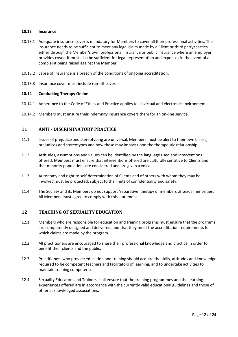#### **10.13 Insurance**

- 10.13.1 Adequate insurance cover is mandatory for Members to cover all their professional activities. The insurance needs to be sufficient to meet any legal claim made by a Client or third party/parties, either through the Member's own professional insurance or public insurance where an employer provides cover. It must also be sufficient for legal representation and expenses in the event of a complaint being raised against the Member.
- 10.13.2 Lapse of insurance is a breach of the conditions of ongoing accreditation.
- 10.13.3 Insurance cover must include run-off cover.

#### **10.14 Conducting Therapy Online**

- 10.14.1 Adherence to the Code of Ethics and Practice applies to all virtual and electronic environments.
- 10.14.2 Members must ensure their indemnity insurance covers them for an on-line service.

#### **11 ANTI - DISCRIMINATORY PRACTICE**

- 11.1 Issues of prejudice and stereotyping are universal. Members must be alert to their own biases, prejudices and stereotypes and how these may impact upon the therapeutic relationship.
- 11.2 Attitudes, assumptions and values can be identified by the language used and interventions offered. Members must ensure that interventions offered are culturally sensitive to Clients and that minority populations are considered and are given a voice.
- 11.3 Autonomy and right to self-determination of Clients and of others with whom they may be involved must be protected, subject to the limits of confidentiality and safety.
- 11.4 The Society and its Members do not support 'reparative' therapy of members of sexual minorities. All Members must agree to comply with this statement.

#### **12 TEACHING OF SEXUALITY EDUCATION**

- 12.1 Members who are responsible for education and training programs must ensure that the programs are competently designed and delivered, and that they meet the accreditation requirements for which claims are made by the program.
- 12.2 All practitioners are encouraged to share their professional knowledge and practice in order to benefit their clients and the public.
- 12.3 Practitioners who provide education and training should acquire the skills, attitudes and knowledge required to be competent teachers and facilitators of learning, and to undertake activities to maintain training competence.
- 12.4 Sexuality Educators and Trainers shall ensure that the training programmes and the learning experiences offered are in accordance with the currently valid educational guidelines and those of other acknowledged associations.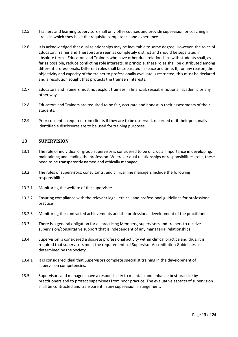- 12.5 Trainers and learning supervisors shall only offer courses and provide supervision or coaching in areas in which they have the requisite competence and experience.
- 12.6 It is acknowledged that dual relationships may be inevitable to some degree. However, the roles of Educator, Trainer and Therapist are seen as completely distinct and should be separated in absolute terms. Educators and Trainers who have other dual relationships with students shall, as far as possible, reduce conflicting role interests. In principle, these roles shall be distributed among different professionals. Different roles shall be separated in space and time. If, for any reason, the objectivity and capacity of the trainer to professionally evaluate is restricted, this must be declared and a resolution sought that protects the trainee's interests.
- 12.7 Educators and Trainers must not exploit trainees in financial, sexual, emotional, academic or any other ways.
- 12.8 Educators and Trainers are required to be fair, accurate and honest in their assessments of their students.
- 12.9 Prior consent is required from clients if they are to be observed, recorded or if their personally identifiable disclosures are to be used for training purposes.

#### **13 SUPERVISION**

- 13.1 The role of individual or group supervisor is considered to be of crucial importance in developing, maintaining and leading the profession. Wherever dual relationships or responsibilities exist, these need to be transparently named and ethically managed.
- 13.2 The roles of supervisors, consultants, and clinical line managers include the following responsibilities:
- 13.2.1 Monitoring the welfare of the supervisee
- 13.2.2 Ensuring compliance with the relevant legal, ethical, and professional guidelines for professional practice
- 13.2.3 Monitoring the contracted achievements and the professional development of the practitioner
- 13.3 There is a general obligation for all practicing Members, supervisors and trainers to receive supervision/consultative support that is independent of any managerial relationships.
- 13.4 Supervision is considered a discrete professional activity within clinical practice and thus, it is required that supervisors meet the requirements of Supervisor Accreditation Guidelines as determined by the Society.
- 13.4.1 It is considered ideal that Supervisors complete specialist training in the development of supervision competencies.
- 13.5 Supervisors and managers have a responsibility to maintain and enhance best practice by practitioners and to protect supervisees from poor practice. The evaluative aspects of supervision shall be contracted and transparent in any supervision arrangement.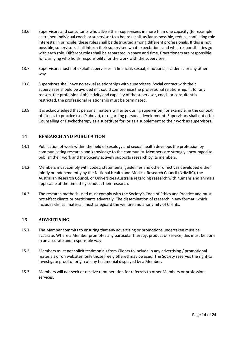- 13.6 Supervisors and consultants who advise their supervisees in more than one capacity (for example as trainer, individual coach or supervisor to a board) shall, as far as possible, reduce conflicting role interests. In principle, these roles shall be distributed among different professionals. If this is not possible, supervisors shall inform their supervisee what expectations and what responsibilities go with each role. Different roles shall be separated in space and time. Practitioners are responsible for clarifying who holds responsibility for the work with the supervisee.
- 13.7 Supervisors must not exploit supervisees in financial, sexual, emotional, academic or any other way.
- 13.8 Supervisors shall have no sexual relationships with supervisees. Social contact with their supervisees should be avoided if it could compromise the professional relationship. If, for any reason, the professional objectivity and capacity of the supervisor, coach or consultant is restricted, the professional relationship must be terminated.
- 13.9 It is acknowledged that personal matters will arise during supervision, for example, in the context of fitness to practice (see 9 above), or regarding personal development. Supervisors shall not offer Counselling or Psychotherapy as a substitute for, or as a supplement to their work as supervisors.

#### **14 RESEARCH AND PUBLICATION**

- 14.1 Publication of work within the field of sexology and sexual health develops the profession by communicating research and knowledge to the community. Members are strongly encouraged to publish their work and the Society actively supports research by its members.
- 14.2 Members must comply with codes, statements, guidelines and other directives developed either jointly or independently by the National Health and Medical Research Council (NHMRC), the Australian Research Council, or Universities Australia regarding research with humans and animals applicable at the time they conduct their research.
- 14.3 The research methods used must comply with the Society's Code of Ethics and Practice and must not affect clients or participants adversely. The dissemination of research in any format, which includes clinical material, must safeguard the welfare and anonymity of Clients.

#### **15 ADVERTISING**

- 15.1 The Member commits to ensuring that any advertising or promotions undertaken must be accurate. Where a Member promotes any particular therapy, product or service, this must be done in an accurate and responsible way.
- 15.2 Members must not solicit testimonials from Clients to include in any advertising / promotional materials or on websites; only those freely offered may be used. The Society reserves the right to investigate proof of origin of any testimonial displayed by a Member.
- 15.3 Members will not seek or receive remuneration for referrals to other Members or professional services.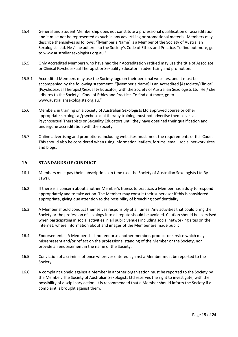- 15.4 General and Student Membership does not constitute a professional qualification or accreditation and it must not be represented as such in any advertising or promotional material. Members may describe themselves as follows: "[Member's Name] is a Member of the Society of Australian Sexologists Ltd. He / she adheres to the Society's Code of Ethics and Practice. To find out more, go to www.australiansexologists.org.au."
- 15.5 Only Accredited Members who have had their Accreditation ratified may use the title of Associate or Clinical Psychosexual Therapist or Sexuality Educator in advertising and promotion.
- 15.5.1 Accredited Members may use the Society logo on their personal websites, and it must be accompanied by the following statement: "[Member's Name] is an Accredited [Associate/Clinical] [Psychosexual Therapist/Sexuality Educator] with the Society of Australian Sexologists Ltd. He / she adheres to the Society's Code of Ethics and Practice. To find out more, go to www.australiansexologists.org.au."
- 15.6 Members in training on a Society of Australian Sexologists Ltd approved course or other appropriate sexological/psychosexual therapy training must not advertise themselves as Psychosexual Therapists or Sexuality Educators until they have obtained their qualification and undergone accreditation with the Society.
- 15.7 Online advertising and promotions, including web sites must meet the requirements of this Code. This should also be considered when using information leaflets, forums, email, social network sites and blogs.

#### **16 STANDARDS OF CONDUCT**

- 16.1 Members must pay their subscriptions on time (see the Society of Australian Sexologists Ltd By-Laws).
- 16.2 If there is a concern about another Member's fitness to practice, a Member has a duty to respond appropriately and to take action. The Member may consult their supervisor if this is considered appropriate, giving due attention to the possibility of breaching confidentiality.
- 16.3 A Member should conduct themselves responsibly at all times. Any activities that could bring the Society or the profession of sexology into disrepute should be avoided. Caution should be exercised when participating in social activities in all public venues including social networking sites on the internet, where information about and images of the Member are made public.
- 16.4 Endorsements: A Member shall not endorse another member, product or service which may misrepresent and/or reflect on the professional standing of the Member or the Society, nor provide an endorsement in the name of the Society.
- 16.5 Conviction of a criminal offence wherever entered against a Member must be reported to the Society.
- 16.6 A complaint upheld against a Member in another organisation must be reported to the Society by the Member. The Society of Australian Sexologists Ltd reserves the right to investigate, with the possibility of disciplinary action. It is recommended that a Member should inform the Society if a complaint is brought against them.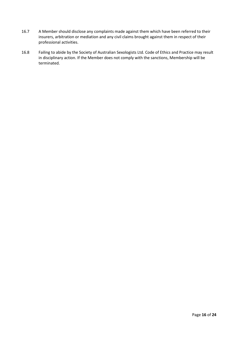- 16.7 A Member should disclose any complaints made against them which have been referred to their insurers, arbitration or mediation and any civil claims brought against them in respect of their professional activities.
- 16.8 Failing to abide by the Society of Australian Sexologists Ltd. Code of Ethics and Practice may result in disciplinary action. If the Member does not comply with the sanctions, Membership will be terminated.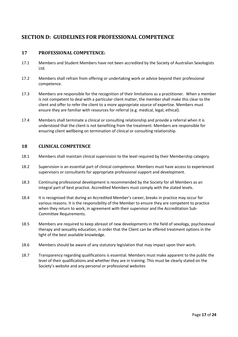# **SECTION D: GUIDELINES FOR PROFESSIONAL COMPETENCE**

#### **17 PROFESSIONAL COMPETENCE:**

- 17.1 Members and Student Members have not been accredited by the Society of Australian Sexologists Ltd.
- 17.2 Members shall refrain from offering or undertaking work or advice beyond their professional competence.
- 17.3 Members are responsible for the recognition of their limitations as a practitioner. When a member is not competent to deal with a particular client matter, the member shall make this clear to the client and offer to refer the client to a more appropriate source of expertise. Members must ensure they are familiar with resources for referral (e.g. medical, legal, ethical).
- 17.4 Members shall terminate a clinical or consulting relationship and provide a referral when it is understood that the client is not benefiting from the treatment. Members are responsible for ensuring client wellbeing on termination of clinical or consulting relationship.

#### **18 CLINICAL COMPETENCE**

- 18.1 Members shall maintain clinical supervision to the level required by their Membership category.
- 18.2 Supervision is an essential part of clinical competence. Members must have access to experienced supervisors or consultants for appropriate professional support and development.
- 18.3 Continuing professional development is recommended by the Society for all Members as an integral part of best practice. Accredited Members must comply with the stated levels.
- 18.4 It is recognised that during an Accredited Member's career, breaks in practice may occur for various reasons. It is the responsibility of the Member to ensure they are competent to practice when they return to work, in agreement with their supervisor and the Accreditation Sub-Committee Requirements.
- 18.5 Members are required to keep abreast of new developments in the field of sexology, psychosexual therapy and sexuality education, in order that the Client can be offered treatment options in the light of the best available knowledge.
- 18.6 Members should be aware of any statutory legislation that may impact upon their work.
- 18.7 Transparency regarding qualifications is essential. Members must make apparent to the public the level of their qualifications and whether they are in training. This must be clearly stated on the Society's website and any personal or professional websites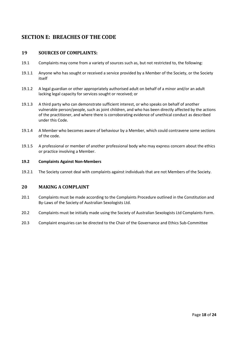# **SECTION E: BREACHES OF THE CODE**

#### **19 SOURCES OF COMPLAINTS:**

- 19.1 Complaints may come from a variety of sources such as, but not restricted to, the following:
- 19.1.1 Anyone who has sought or received a service provided by a Member of the Society, or the Society itself
- 19.1.2 A legal guardian or other appropriately authorised adult on behalf of a minor and/or an adult lacking legal capacity for services sought or received; or
- 19.1.3 A third party who can demonstrate sufficient interest, or who speaks on behalf of another vulnerable person/people, such as joint children, and who has been directly affected by the actions of the practitioner, and where there is corroborating evidence of unethical conduct as described under this Code.
- 19.1.4 A Member who becomes aware of behaviour by a Member, which could contravene some sections of the code.
- 19.1.5 A professional or member of another professional body who may express concern about the ethics or practice involving a Member.

#### **19.2 Complaints Against Non-Members**

19.2.1 The Society cannot deal with complaints against individuals that are not Members of the Society.

#### **20 MAKING A COMPLAINT**

- 20.1 Complaints must be made according to the Complaints Procedure outlined in the Constitution and By-Laws of the Society of Australian Sexologists Ltd.
- 20.2 Complaints must be initially made using the Society of Australian Sexologists Ltd Complaints Form.
- 20.3 Complaint enquiries can be directed to the Chair of the Governance and Ethics Sub-Committee